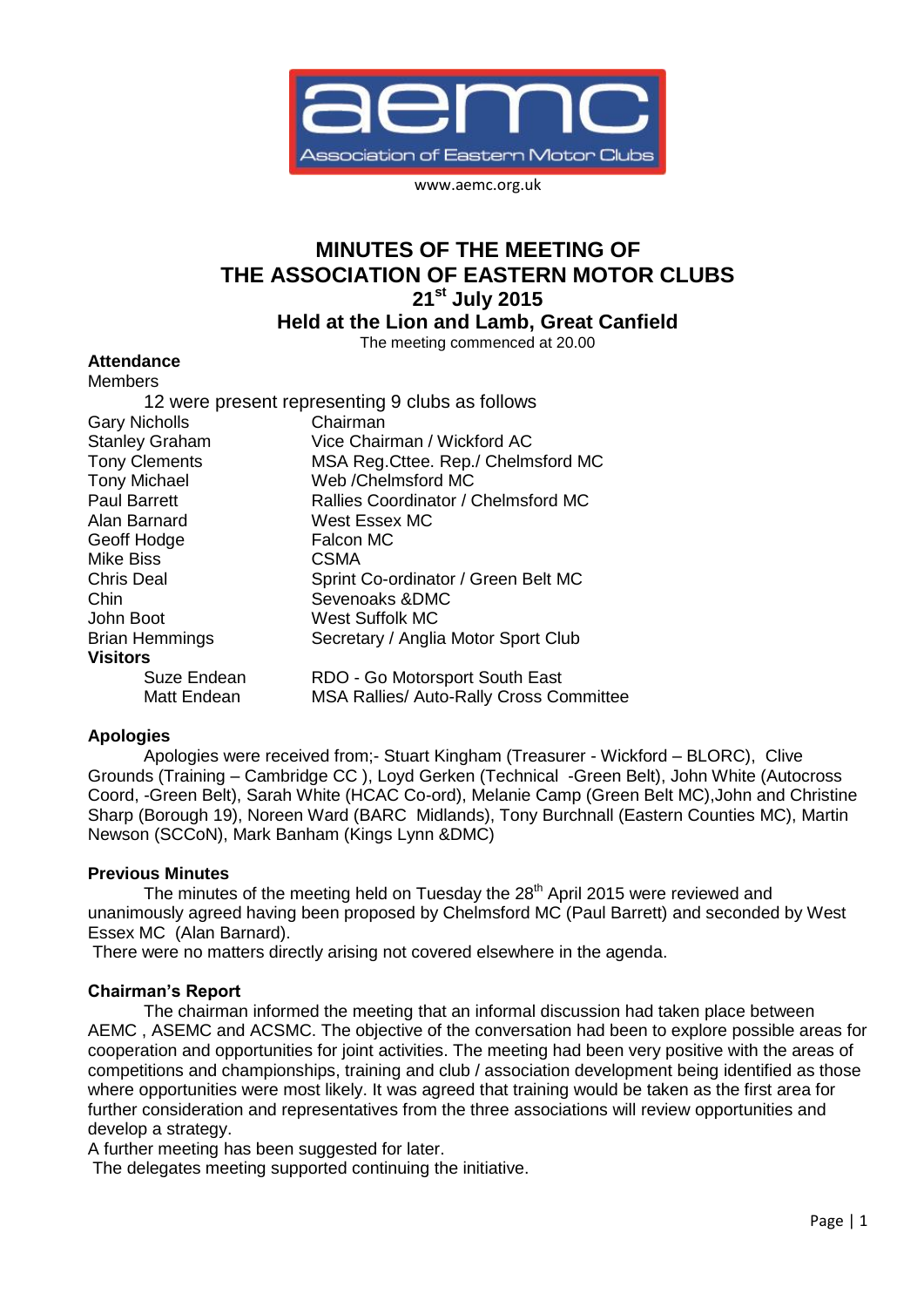

www.aemc.org.uk

# **MINUTES OF THE MEETING OF THE ASSOCIATION OF EASTERN MOTOR CLUBS 21st July 2015**

**Held at the Lion and Lamb, Great Canfield**

The meeting commenced at 20.00

### **Attendance**

| <b>Members</b>        |                                                 |
|-----------------------|-------------------------------------------------|
|                       | 12 were present representing 9 clubs as follows |
| <b>Gary Nicholls</b>  | Chairman                                        |
| <b>Stanley Graham</b> | Vice Chairman / Wickford AC                     |
| <b>Tony Clements</b>  | MSA Reg. Cttee. Rep./ Chelmsford MC             |
| <b>Tony Michael</b>   | Web / Chelmsford MC                             |
| <b>Paul Barrett</b>   | Rallies Coordinator / Chelmsford MC             |
| Alan Barnard          | West Essex MC                                   |
| Geoff Hodge           | Falcon MC                                       |
| <b>Mike Biss</b>      | <b>CSMA</b>                                     |
| <b>Chris Deal</b>     | Sprint Co-ordinator / Green Belt MC             |
| Chin                  | Sevenoaks & DMC                                 |
| John Boot             | West Suffolk MC                                 |
| <b>Brian Hemmings</b> | Secretary / Anglia Motor Sport Club             |
| <b>Visitors</b>       |                                                 |
| Suze Endean           | RDO - Go Motorsport South East                  |
| Matt Endean           | <b>MSA Rallies/ Auto-Rally Cross Committee</b>  |

### **Apologies**

Apologies were received from;- Stuart Kingham (Treasurer - Wickford – BLORC), Clive Grounds (Training – Cambridge CC ), Loyd Gerken (Technical -Green Belt), John White (Autocross Coord, -Green Belt), Sarah White (HCAC Co-ord), Melanie Camp (Green Belt MC),John and Christine Sharp (Borough 19), Noreen Ward (BARC Midlands), Tony Burchnall (Eastern Counties MC), Martin Newson (SCCoN), Mark Banham (Kings Lynn &DMC)

### **Previous Minutes**

The minutes of the meeting held on Tuesday the  $28<sup>th</sup>$  April 2015 were reviewed and unanimously agreed having been proposed by Chelmsford MC (Paul Barrett) and seconded by West Essex MC (Alan Barnard).

There were no matters directly arising not covered elsewhere in the agenda.

### **Chairman's Report**

The chairman informed the meeting that an informal discussion had taken place between AEMC , ASEMC and ACSMC. The objective of the conversation had been to explore possible areas for cooperation and opportunities for joint activities. The meeting had been very positive with the areas of competitions and championships, training and club / association development being identified as those where opportunities were most likely. It was agreed that training would be taken as the first area for further consideration and representatives from the three associations will review opportunities and develop a strategy.

A further meeting has been suggested for later.

The delegates meeting supported continuing the initiative.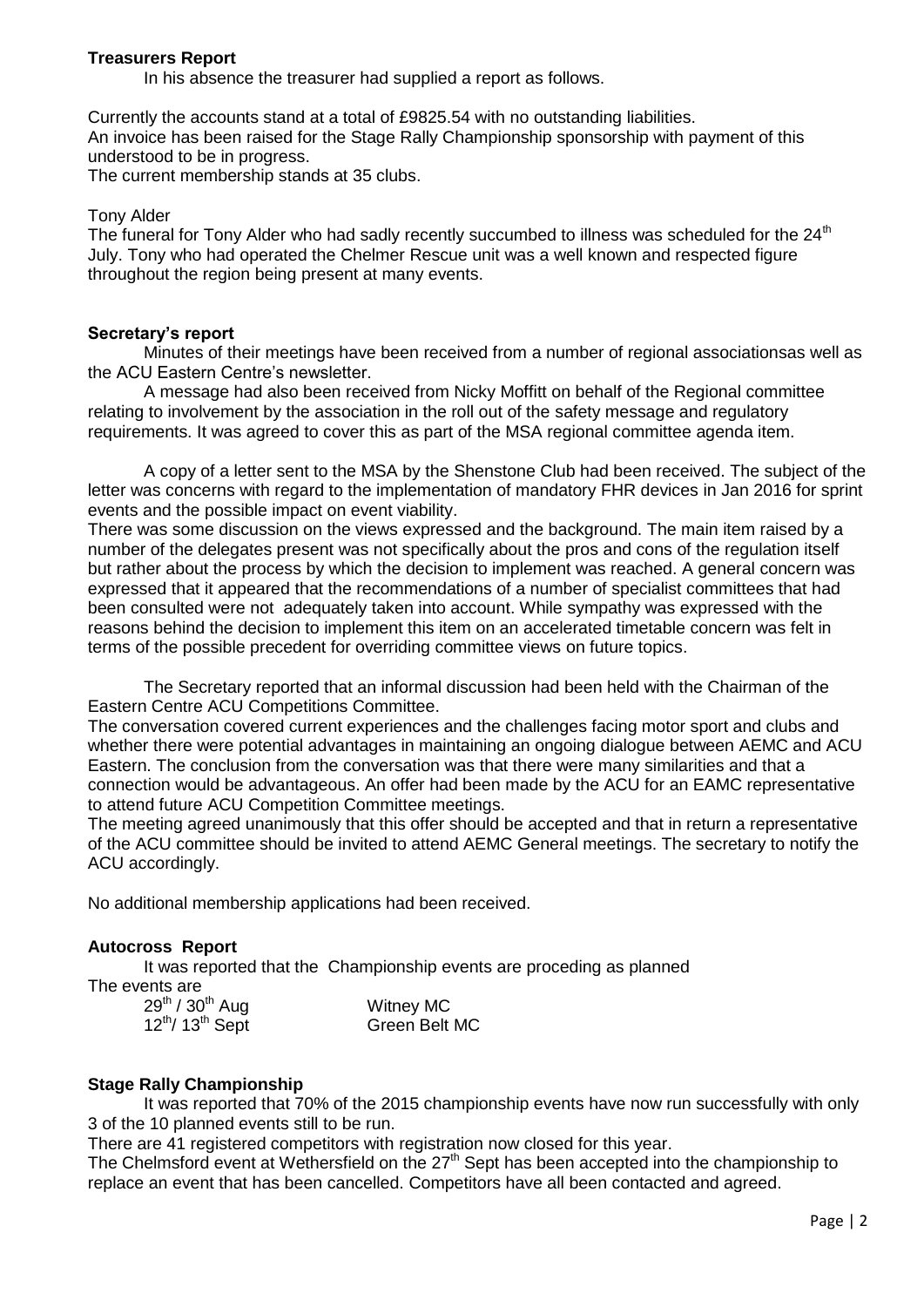# **Treasurers Report**

In his absence the treasurer had supplied a report as follows.

Currently the accounts stand at a total of £9825.54 with no outstanding liabilities. An invoice has been raised for the Stage Rally Championship sponsorship with payment of this understood to be in progress.

The current membership stands at 35 clubs.

#### Tony Alder

The funeral for Tony Alder who had sadly recently succumbed to illness was scheduled for the 24<sup>th</sup> July. Tony who had operated the Chelmer Rescue unit was a well known and respected figure throughout the region being present at many events.

#### **Secretary's report**

Minutes of their meetings have been received from a number of regional associationsas well as the ACU Eastern Centre's newsletter.

A message had also been received from Nicky Moffitt on behalf of the Regional committee relating to involvement by the association in the roll out of the safety message and regulatory requirements. It was agreed to cover this as part of the MSA regional committee agenda item.

A copy of a letter sent to the MSA by the Shenstone Club had been received. The subject of the letter was concerns with regard to the implementation of mandatory FHR devices in Jan 2016 for sprint events and the possible impact on event viability.

There was some discussion on the views expressed and the background. The main item raised by a number of the delegates present was not specifically about the pros and cons of the regulation itself but rather about the process by which the decision to implement was reached. A general concern was expressed that it appeared that the recommendations of a number of specialist committees that had been consulted were not adequately taken into account. While sympathy was expressed with the reasons behind the decision to implement this item on an accelerated timetable concern was felt in terms of the possible precedent for overriding committee views on future topics.

The Secretary reported that an informal discussion had been held with the Chairman of the Eastern Centre ACU Competitions Committee.

The conversation covered current experiences and the challenges facing motor sport and clubs and whether there were potential advantages in maintaining an ongoing dialogue between AEMC and ACU Eastern. The conclusion from the conversation was that there were many similarities and that a connection would be advantageous. An offer had been made by the ACU for an EAMC representative to attend future ACU Competition Committee meetings.

The meeting agreed unanimously that this offer should be accepted and that in return a representative of the ACU committee should be invited to attend AEMC General meetings. The secretary to notify the ACU accordingly.

No additional membership applications had been received.

### **Autocross Report**

It was reported that the Championship events are proceding as planned

The events are

| 29 <sup>th</sup> / 30 <sup>th</sup> Aug | Witney MC     |
|-----------------------------------------|---------------|
| $12^{th}$ / $13^{th}$ Sept              | Green Belt MC |

### **Stage Rally Championship**

It was reported that 70% of the 2015 championship events have now run successfully with only 3 of the 10 planned events still to be run.

There are 41 registered competitors with registration now closed for this year.

The Chelmsford event at Wethersfield on the 27<sup>th</sup> Sept has been accepted into the championship to replace an event that has been cancelled. Competitors have all been contacted and agreed.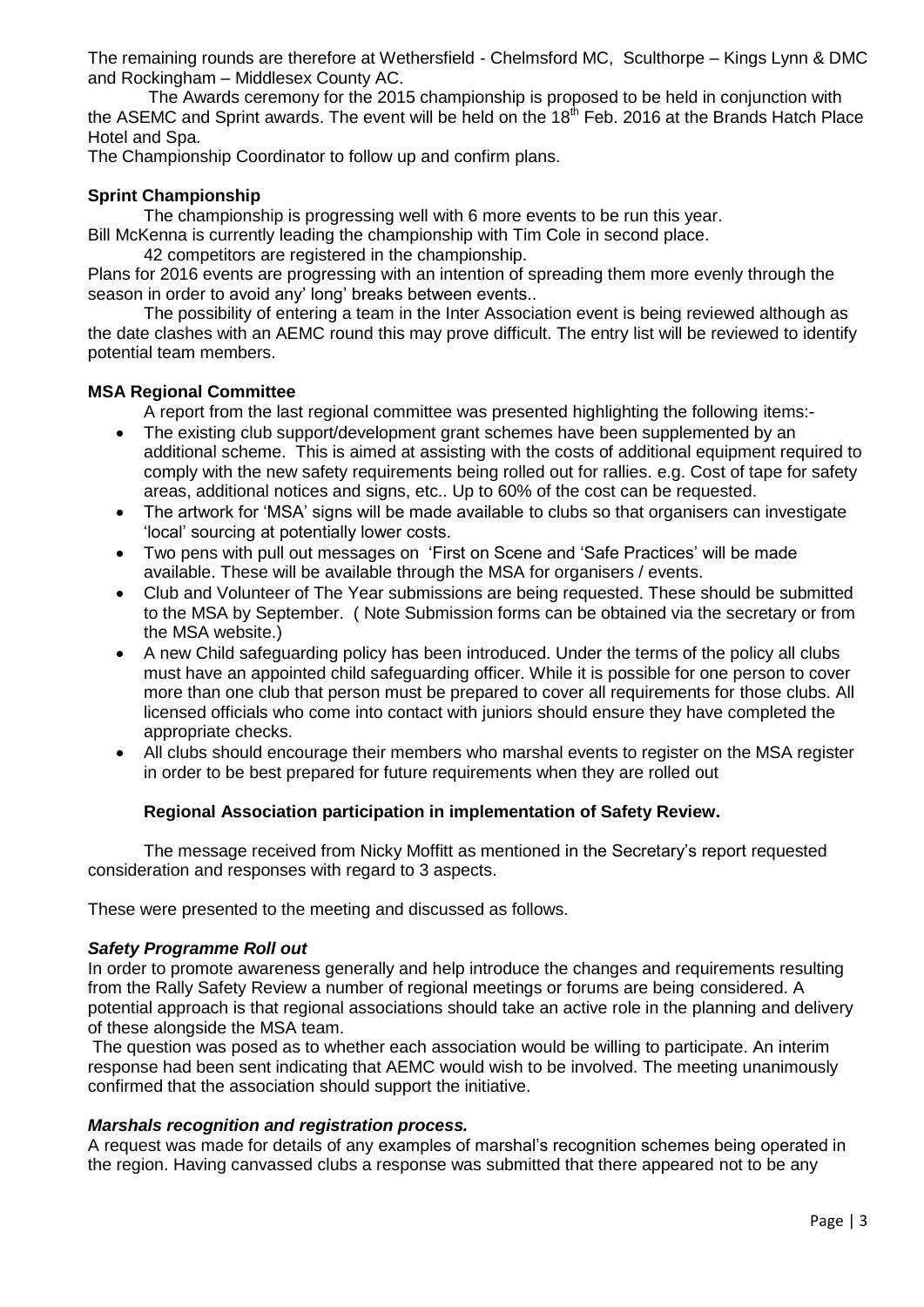The remaining rounds are therefore at Wethersfield - Chelmsford MC, Sculthorpe – Kings Lynn & DMC and Rockingham – Middlesex County AC.

The Awards ceremony for the 2015 championship is proposed to be held in conjunction with the ASEMC and Sprint awards. The event will be held on the 18<sup>th</sup> Feb. 2016 at the Brands Hatch Place Hotel and Spa.

The Championship Coordinator to follow up and confirm plans.

# **Sprint Championship**

The championship is progressing well with 6 more events to be run this year.

Bill McKenna is currently leading the championship with Tim Cole in second place.

42 competitors are registered in the championship.

Plans for 2016 events are progressing with an intention of spreading them more evenly through the season in order to avoid any' long' breaks between events..

The possibility of entering a team in the Inter Association event is being reviewed although as the date clashes with an AEMC round this may prove difficult. The entry list will be reviewed to identify potential team members.

# **MSA Regional Committee**

A report from the last regional committee was presented highlighting the following items:-

- The existing club support/development grant schemes have been supplemented by an additional scheme. This is aimed at assisting with the costs of additional equipment required to comply with the new safety requirements being rolled out for rallies. e.g. Cost of tape for safety areas, additional notices and signs, etc.. Up to 60% of the cost can be requested.
- The artwork for 'MSA' signs will be made available to clubs so that organisers can investigate 'local' sourcing at potentially lower costs.
- Two pens with pull out messages on 'First on Scene and 'Safe Practices' will be made available. These will be available through the MSA for organisers / events.
- Club and Volunteer of The Year submissions are being requested. These should be submitted to the MSA by September. ( Note Submission forms can be obtained via the secretary or from the MSA website.)
- A new Child safeguarding policy has been introduced. Under the terms of the policy all clubs must have an appointed child safeguarding officer. While it is possible for one person to cover more than one club that person must be prepared to cover all requirements for those clubs. All licensed officials who come into contact with juniors should ensure they have completed the appropriate checks.
- All clubs should encourage their members who marshal events to register on the MSA register in order to be best prepared for future requirements when they are rolled out

# **Regional Association participation in implementation of Safety Review.**

The message received from Nicky Moffitt as mentioned in the Secretary's report requested consideration and responses with regard to 3 aspects.

These were presented to the meeting and discussed as follows.

### *Safety Programme Roll out*

In order to promote awareness generally and help introduce the changes and requirements resulting from the Rally Safety Review a number of regional meetings or forums are being considered. A potential approach is that regional associations should take an active role in the planning and delivery of these alongside the MSA team.

The question was posed as to whether each association would be willing to participate. An interim response had been sent indicating that AEMC would wish to be involved. The meeting unanimously confirmed that the association should support the initiative.

### *Marshals recognition and registration process.*

A request was made for details of any examples of marshal's recognition schemes being operated in the region. Having canvassed clubs a response was submitted that there appeared not to be any